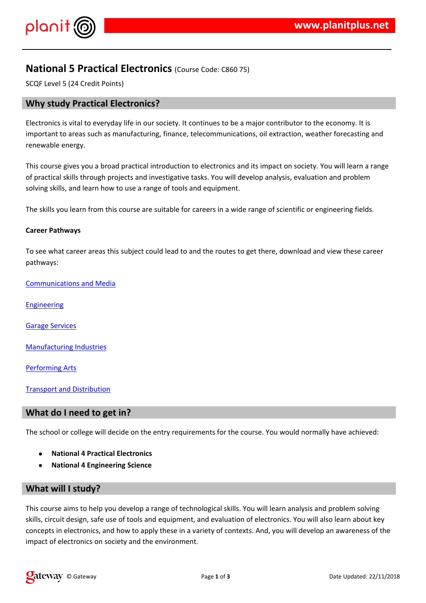## $\frac{1}{2}$   $\frac{1}{2}$   $\frac{1}{2}$   $\frac{1}{2}$   $\frac{1}{2}$   $\frac{1}{2}$   $\frac{1}{2}$   $\frac{1}{2}$   $\frac{1}{2}$   $\frac{1}{2}$   $\frac{1}{2}$   $\frac{1}{2}$   $\frac{1}{2}$   $\frac{1}{2}$   $\frac{1}{2}$   $\frac{1}{2}$   $\frac{1}{2}$   $\frac{1}{2}$   $\frac{1}{2}$   $\frac{1}{2}$   $\frac{1}{2}$   $\frac{1}{2}$

- $($ \$)  $'8$  & #& \$&&' #  $)$  +&) ' \*&' , . ) ' &, / ) ' \ \* &<br>&- ' ) / ' &)' ' )&O\$ 0) - ' & ) & ' 0 &\$ 1 / ) & ' 0 &"
- $2/8$  )  $8\#$ ,  $8/58'$   $\frac{1}{3}$   $8/18$   $8/8-1$   $1/8$   $1/8$   $1/8$   $1/8$   $1/8$   $1/8$   $1/8$   $1/8$   $1/8$   $1/8$   $1/8$   $1/8$   $1/8$   $1/8$   $1/8$   $1/8$   $1/8$   $1/8$   $1/8$   $1/8$   $1/8$   $1/8$   $1/8$   $1/8$   $1/8$   $1/8$   $1/8$   $1/8$   $1/8$ (a) \$ 48.55 (a) \$ 48.55 (a) \$ 48.55 (a) \$ 48.55 (a) \$ 48.55 (a) \$ 48.55 (a) \$ 48.55 (a) \$ 48.55 (a) \$ 48.55 (a) \$ 48.55 (a) \$ 48.55 (a) \$ 48.55 (a) \$ 48.55 (a) \$ 48.55 (a) \$ 48.55 (a) \$ 48.55 (a) \$ 48.55 (a) \$ 48.55 (a) \$
- 
- $2$  / ) ,  $\frac{1}{2}$  ,  $\frac{1}{2}$  ,  $\frac{1}{2}$  ,  $\frac{1}{2}$  ,  $\frac{1}{2}$  ,  $\frac{1}{2}$  ,  $\frac{1}{2}$  ,  $\frac{1}{2}$  ,  $\frac{1}{2}$  ,  $\frac{1}{2}$  ,  $\frac{1}{2}$  ,  $\frac{1}{2}$  ,  $\frac{1}{2}$  ,  $\frac{1}{2}$  ,  $\frac{1}{2}$  ,  $\frac{1}{2}$  ,  $\frac{1}{2}$  ,  $\frac{1$  $\frac{1}{2}$
- $8$ ) &  $1$  6 &
- $(1818)$
- $\# 8)$
- $6'$  )  $8'$  +  $8$
- $-8' 7$
- $2'$  & & &  $'$
- $2/$  )/ \$) \$\$ &\$\$ )&  $'$  /  $'$  5 &  $'$  / ) \* 3

# \$ ' )/' \$ & ) \$ 3 4 & \$8\$\$\$ \$ ' ' \$, \$ & - ' \$# 8  $2/8$  ) & \$  $48\$\$0$   $8$   $8$   $8$   $10$   $58$   $-10$   $\#\$\$$   $8$   $8$   $\#$   $9$   $\#$   $9$   $\#$   $9$   $\#$   $9$   $\#$   $3$   $\#$   $8$   $\#$   $5$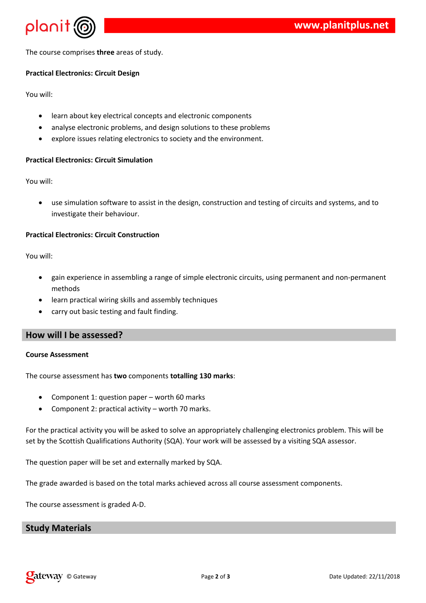

The course comprises **three** areas of study.

### **Practical Electronics: Circuit Design**

You will:

- learn about key electrical concepts and electronic components
- analyse electronic problems, and design solutions to these problems
- explore issues relating electronics to society and the environment.

#### **Practical Electronics: Circuit Simulation**

You will:

 use simulation software to assist in the design, construction and testing of circuits and systems, and to investigate their behaviour.

#### **Practical Electronics: Circuit Construction**

You will:

- gain experience in assembling a range of simple electronic circuits, using permanent and non-permanent methods
- learn practical wiring skills and assembly techniques
- carry out basic testing and fault finding.

## **How will I be assessed?**

#### **Course Assessment**

The course assessment has **two** components **totalling 130 marks**:

- Component 1: question paper worth 60 marks
- Component 2: practical activity worth 70 marks.

For the practical activity you will be asked to solve an appropriately challenging electronics problem. This will be set by the Scottish Qualifications Authority (SQA). Your work will be assessed by a visiting SQA assessor.

The question paper will be set and externally marked by SQA.

The grade awarded is based on the total marks achieved across all course assessment components.

The course assessment is graded A-D.

# **Study Materials**